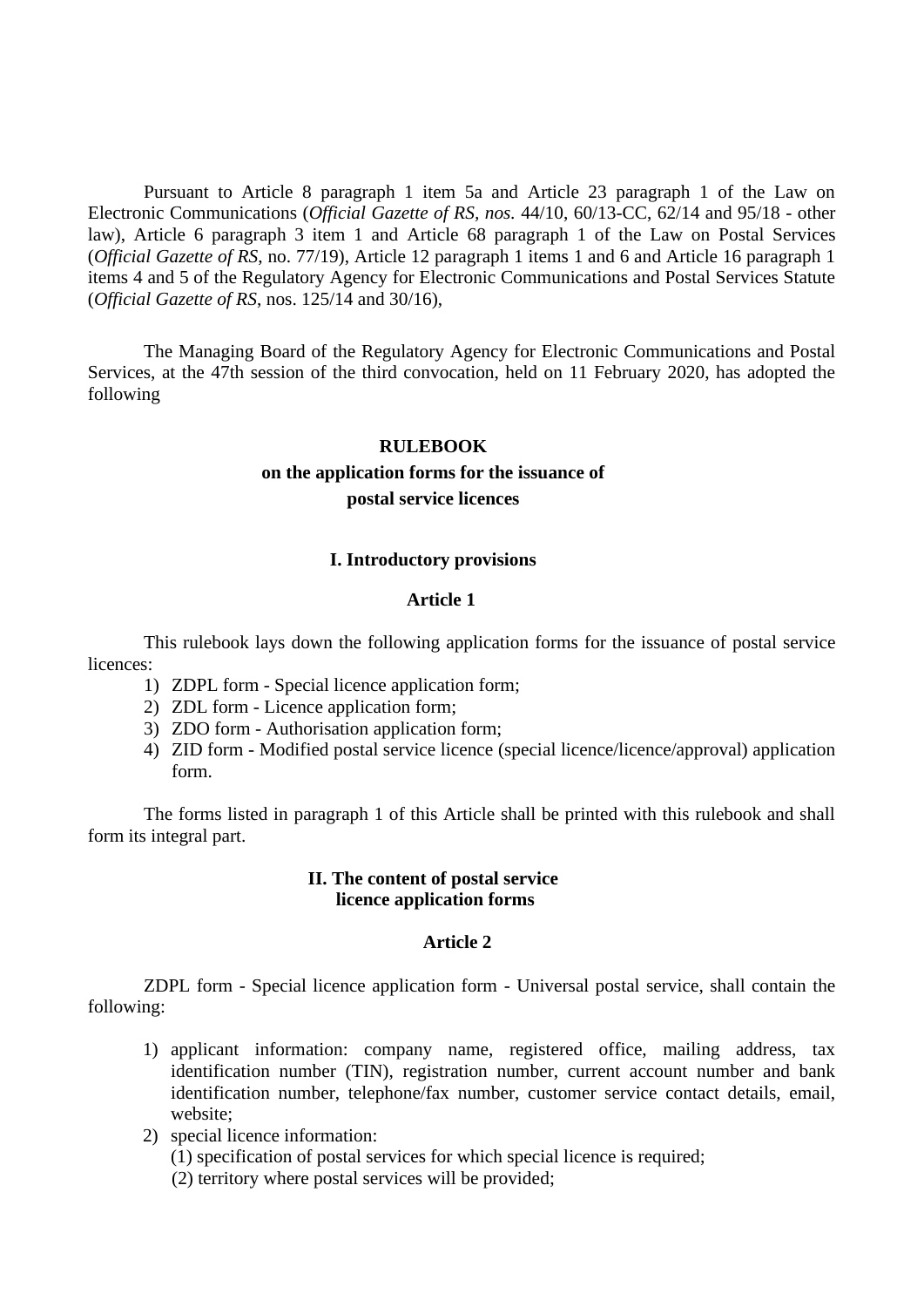Pursuant to Article 8 paragraph 1 item 5a and Article 23 paragraph 1 of the Law on Electronic Communications (*Official Gazette of RS, nos.* 44/10, 60/13-CC, 62/14 and 95/18 - other law), Article 6 paragraph 3 item 1 and Article 68 paragraph 1 of the Law on Postal Services (*Official Gazette of RS*, no. 77/19), Article 12 paragraph 1 items 1 and 6 and Article 16 paragraph 1 items 4 and 5 of the Regulatory Agency for Electronic Communications and Postal Services Statute (*Official Gazette of RS*, nos. 125/14 and 30/16),

The Managing Board of the Regulatory Agency for Electronic Communications and Postal Services, at the 47th session of the third convocation, held on 11 February 2020, has adopted the following

#### **RULEBOOK**

# **on the application forms for the issuance of postal service licences**

#### **I. Introductory provisions**

#### **Article 1**

This rulebook lays down the following application forms for the issuance of postal service licences:

- 1) ZDPL form Special licence application form;
- 2) ZDL form Licence application form;
- 3) ZDO form Authorisation application form;
- 4) ZID form Modified postal service licence (special licence/licence/approval) application form.

The forms listed in paragraph 1 of this Article shall be printed with this rulebook and shall form its integral part.

## **II. The content of postal service licence application forms**

### **Article 2**

ZDPL form - Special licence application form - Universal postal service, shall contain the following:

- 1) applicant information: company name, registered office, mailing address, tax identification number (TIN), registration number, current account number and bank identification number, telephone/fax number, customer service contact details, email, website;
- 2) special licence information: (1) specification of postal services for which special licence is required;
	- (2) territory where postal services will be provided;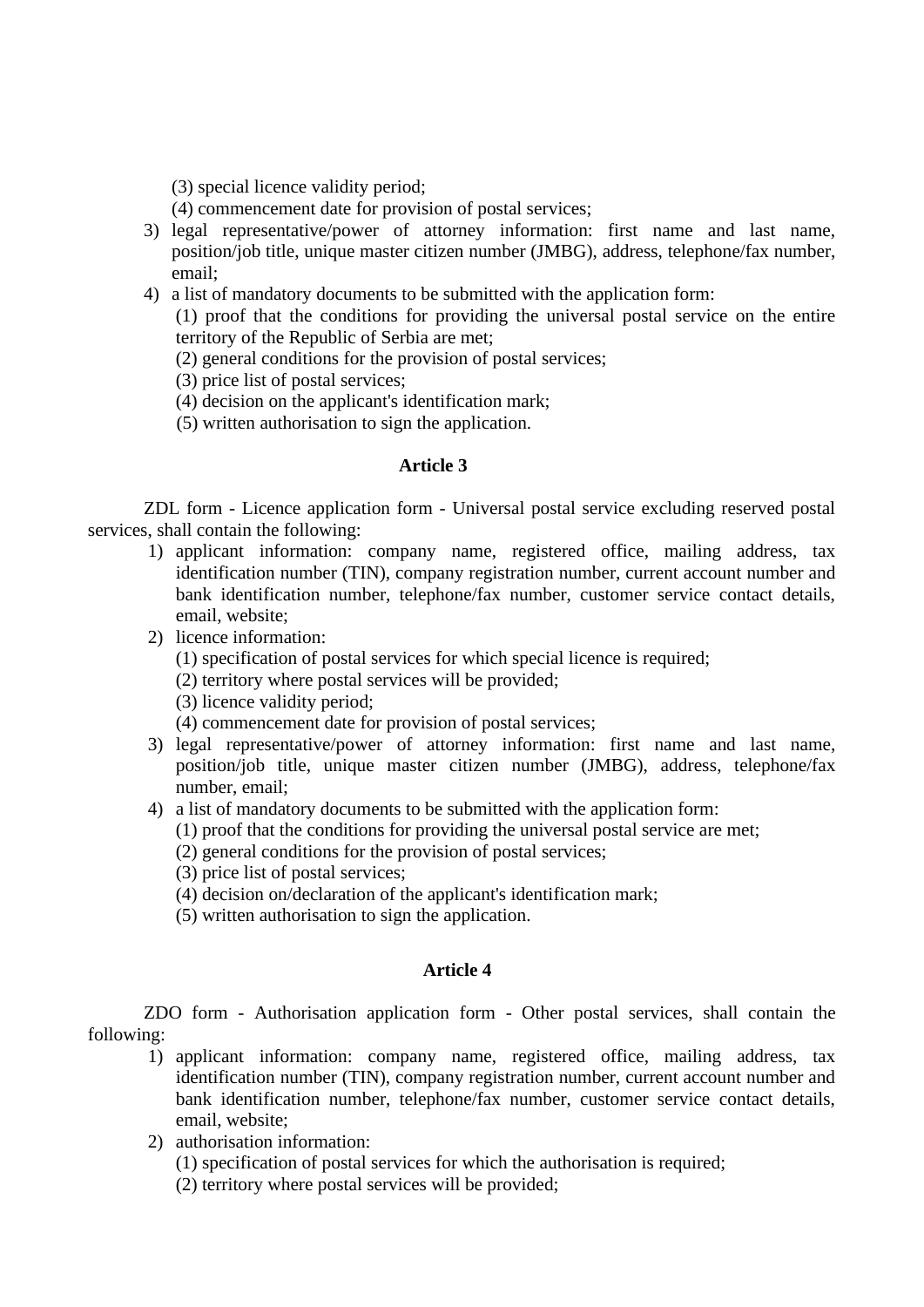(3) special licence validity period;

- (4) commencement date for provision of postal services;
- 3) legal representative/power of attorney information: first name and last name, position/job title, unique master citizen number (JMBG), address, telephone/fax number, email;
- 4) a list of mandatory documents to be submitted with the application form:

(1) proof that the conditions for providing the universal postal service on the entire territory of the Republic of Serbia are met;

- (2) general conditions for the provision of postal services;
- (3) price list of postal services;
- (4) decision on the applicant's identification mark;
- (5) written authorisation to sign the application.

#### **Article 3**

ZDL form - Licence application form - Universal postal service excluding reserved postal services, shall contain the following:

- 1) applicant information: company name, registered office, mailing address, tax identification number (TIN), company registration number, current account number and bank identification number, telephone/fax number, customer service contact details, email, website;
- 2) licence information:
	- (1) specification of postal services for which special licence is required;
	- (2) territory where postal services will be provided;
	- (3) licence validity period;
	- (4) commencement date for provision of postal services;
- 3) legal representative/power of attorney information: first name and last name, position/job title, unique master citizen number (JMBG), address, telephone/fax number, email;
- 4) a list of mandatory documents to be submitted with the application form:
	- (1) proof that the conditions for providing the universal postal service are met;
	- (2) general conditions for the provision of postal services;
	- (3) price list of postal services;
	- (4) decision on/declaration of the applicant's identification mark;
	- (5) written authorisation to sign the application.

### **Article 4**

ZDO form - Authorisation application form - Other postal services, shall contain the following:

- 1) applicant information: company name, registered office, mailing address, tax identification number (TIN), company registration number, current account number and bank identification number, telephone/fax number, customer service contact details, email, website;
- 2) authorisation information:
	- (1) specification of postal services for which the authorisation is required;
	- (2) territory where postal services will be provided;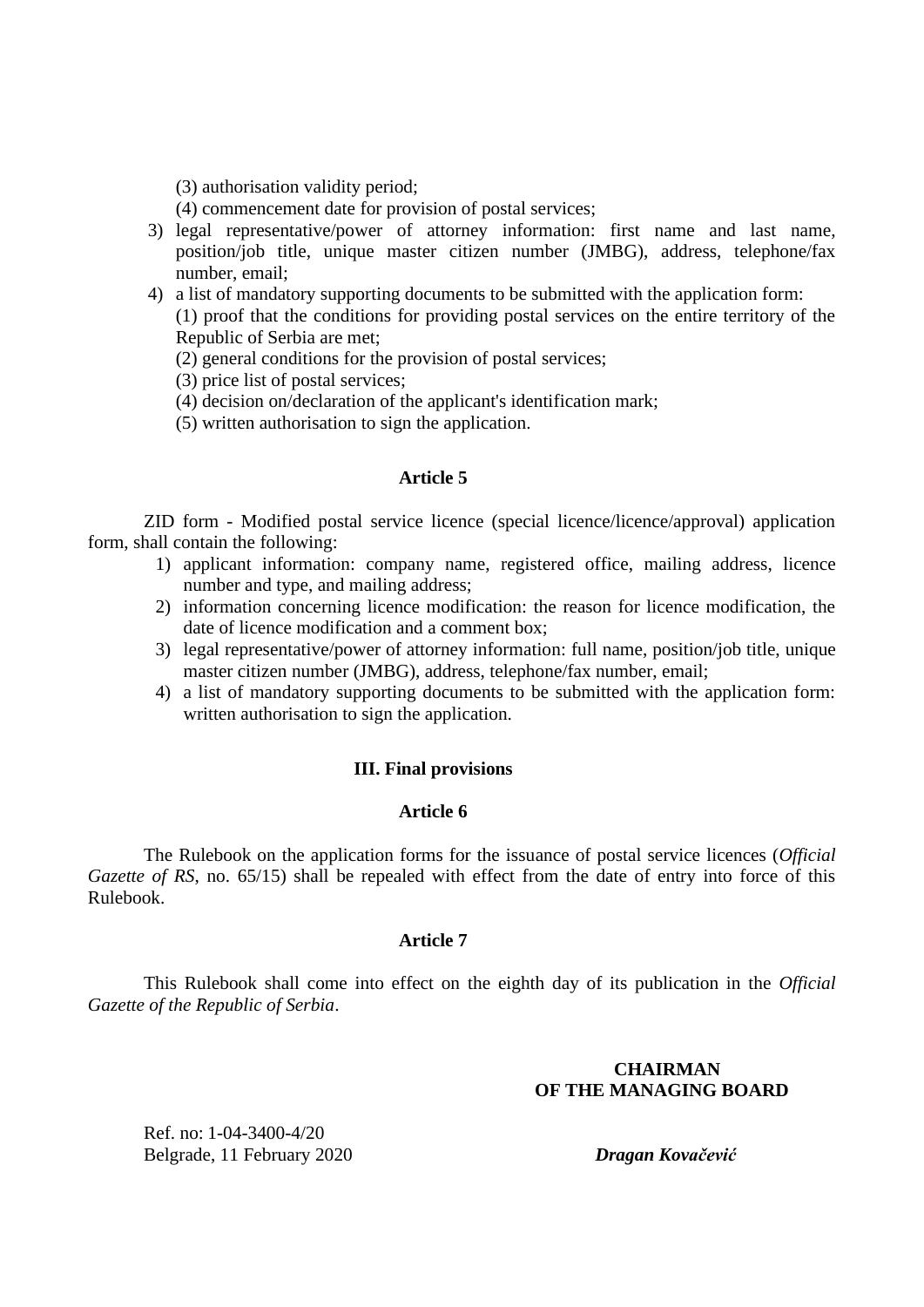(3) authorisation validity period;

(4) commencement date for provision of postal services;

- 3) legal representative/power of attorney information: first name and last name, position/job title, unique master citizen number (JMBG), address, telephone/fax number, email;
- 4) a list of mandatory supporting documents to be submitted with the application form: (1) proof that the conditions for providing postal services on the entire territory of the Republic of Serbia are met;
	- (2) general conditions for the provision of postal services;

(3) price list of postal services;

- (4) decision on/declaration of the applicant's identification mark;
- (5) written authorisation to sign the application.

#### **Article 5**

ZID form - Modified postal service licence (special licence/licence/approval) application form, shall contain the following:

- 1) applicant information: company name, registered office, mailing address, licence number and type, and mailing address;
- 2) information concerning licence modification: the reason for licence modification, the date of licence modification and a comment box;
- 3) legal representative/power of attorney information: full name, position/job title, unique master citizen number (JMBG), address, telephone/fax number, email;
- 4) a list of mandatory supporting documents to be submitted with the application form: written authorisation to sign the application.

## **III. Final provisions**

### **Article 6**

The Rulebook on the application forms for the issuance of postal service licences (*Official Gazette of RS*, no. 65/15) shall be repealed with effect from the date of entry into force of this Rulebook.

#### **Article 7**

This Rulebook shall come into effect on the eighth day of its publication in the *Official Gazette of the Republic of Serbia*.

## **CHAIRMAN OF THE MANAGING BOARD**

Ref. no: 1-04-3400-4/20 Belgrade, 11 February 2020 *Dragan Kovačević*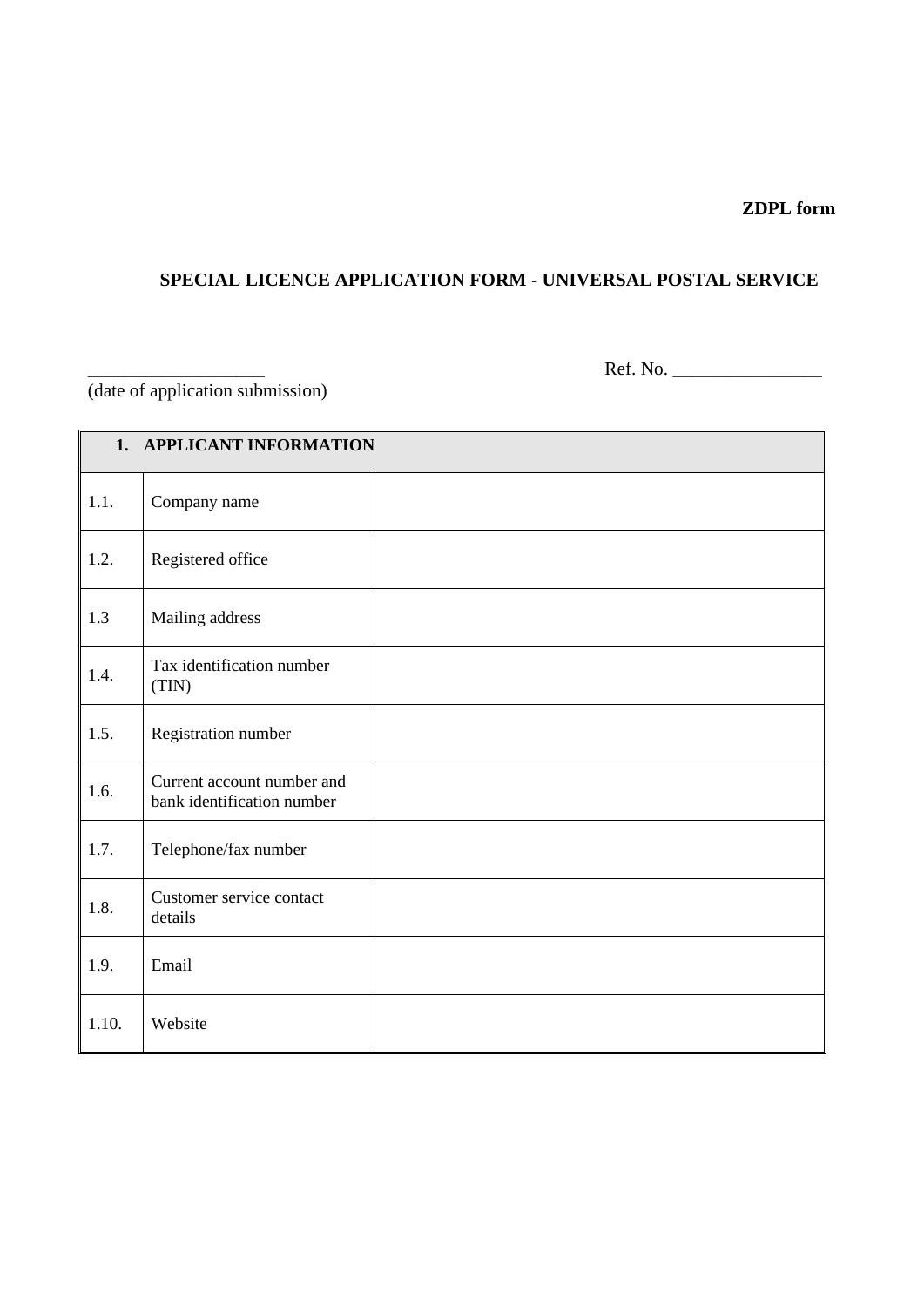# **ZDPL form**

# **SPECIAL LICENCE APPLICATION FORM - UNIVERSAL POSTAL SERVICE**

(date of application submission)

\_\_\_\_\_\_\_\_\_\_\_\_\_\_\_\_\_\_\_ Ref. No. \_\_\_\_\_\_\_\_\_\_\_\_\_\_\_\_

| 1. APPLICANT INFORMATION |                                                          |  |
|--------------------------|----------------------------------------------------------|--|
| 1.1.                     | Company name                                             |  |
| 1.2.                     | Registered office                                        |  |
| 1.3                      | Mailing address                                          |  |
| 1.4.                     | Tax identification number<br>(TIN)                       |  |
| 1.5.                     | Registration number                                      |  |
| 1.6.                     | Current account number and<br>bank identification number |  |
| 1.7.                     | Telephone/fax number                                     |  |
| 1.8.                     | Customer service contact<br>details                      |  |
| 1.9.                     | Email                                                    |  |
| 1.10.                    | Website                                                  |  |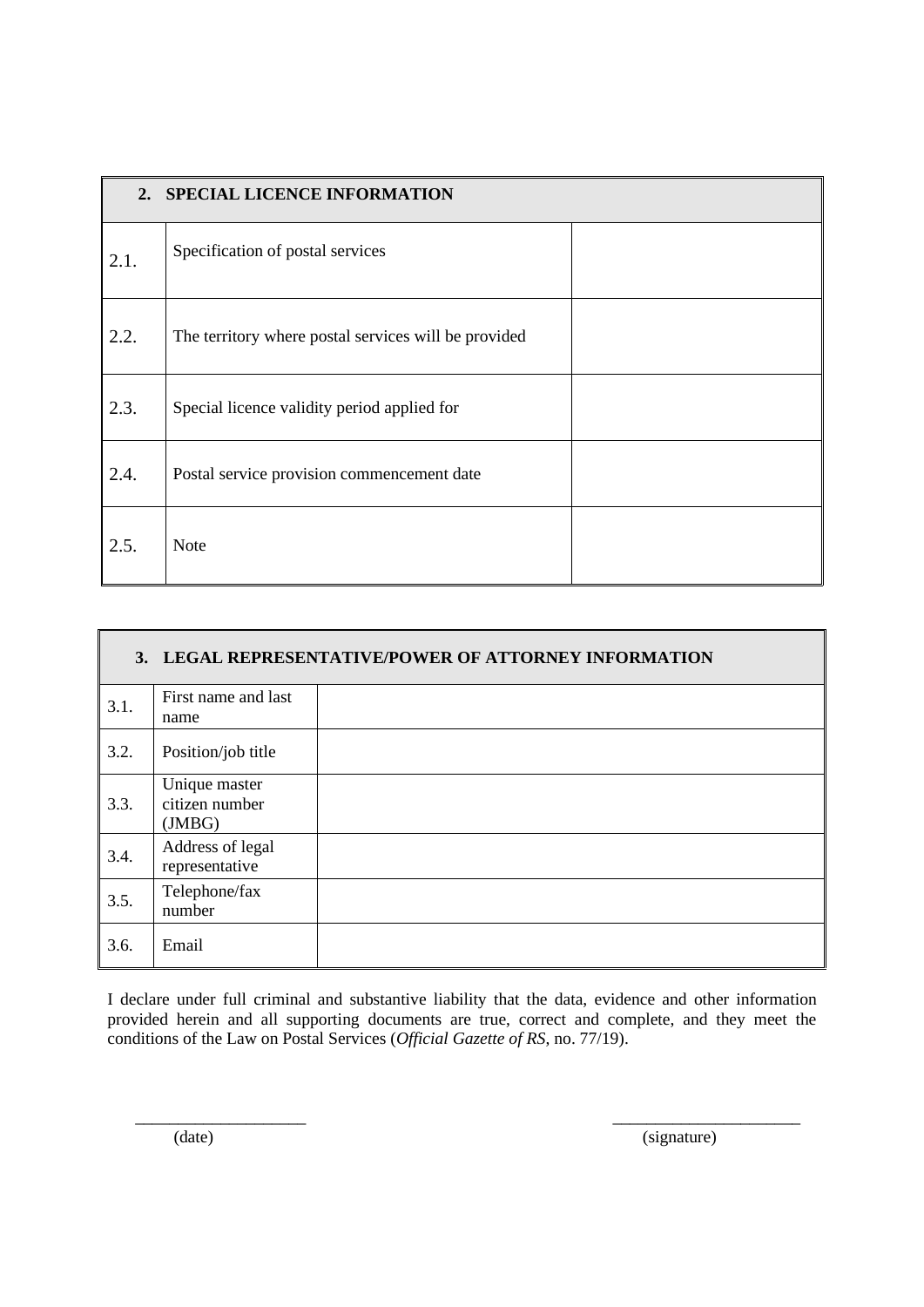| SPECIAL LICENCE INFORMATION<br>2. |                                                      |  |
|-----------------------------------|------------------------------------------------------|--|
| 2.1.                              | Specification of postal services                     |  |
| 2.2.                              | The territory where postal services will be provided |  |
| 2.3.                              | Special licence validity period applied for          |  |
| 2.4.                              | Postal service provision commencement date           |  |
| 2.5.                              | <b>Note</b>                                          |  |

|      | 3. LEGAL REPRESENTATIVE/POWER OF ATTORNEY INFORMATION |  |  |
|------|-------------------------------------------------------|--|--|
| 3.1. | First name and last<br>name                           |  |  |
| 3.2. | Position/job title                                    |  |  |
| 3.3. | Unique master<br>citizen number<br>(JMBG)             |  |  |
| 3.4. | Address of legal<br>representative                    |  |  |
| 3.5. | Telephone/fax<br>number                               |  |  |
| 3.6. | Email                                                 |  |  |

(date)

\_\_\_\_\_\_\_\_\_\_\_\_\_\_\_\_\_\_\_\_

(signature)

 $\frac{1}{\sqrt{2}}$  ,  $\frac{1}{\sqrt{2}}$  ,  $\frac{1}{\sqrt{2}}$  ,  $\frac{1}{\sqrt{2}}$  ,  $\frac{1}{\sqrt{2}}$  ,  $\frac{1}{\sqrt{2}}$  ,  $\frac{1}{\sqrt{2}}$  ,  $\frac{1}{\sqrt{2}}$  ,  $\frac{1}{\sqrt{2}}$  ,  $\frac{1}{\sqrt{2}}$  ,  $\frac{1}{\sqrt{2}}$  ,  $\frac{1}{\sqrt{2}}$  ,  $\frac{1}{\sqrt{2}}$  ,  $\frac{1}{\sqrt{2}}$  ,  $\frac{1}{\sqrt{2}}$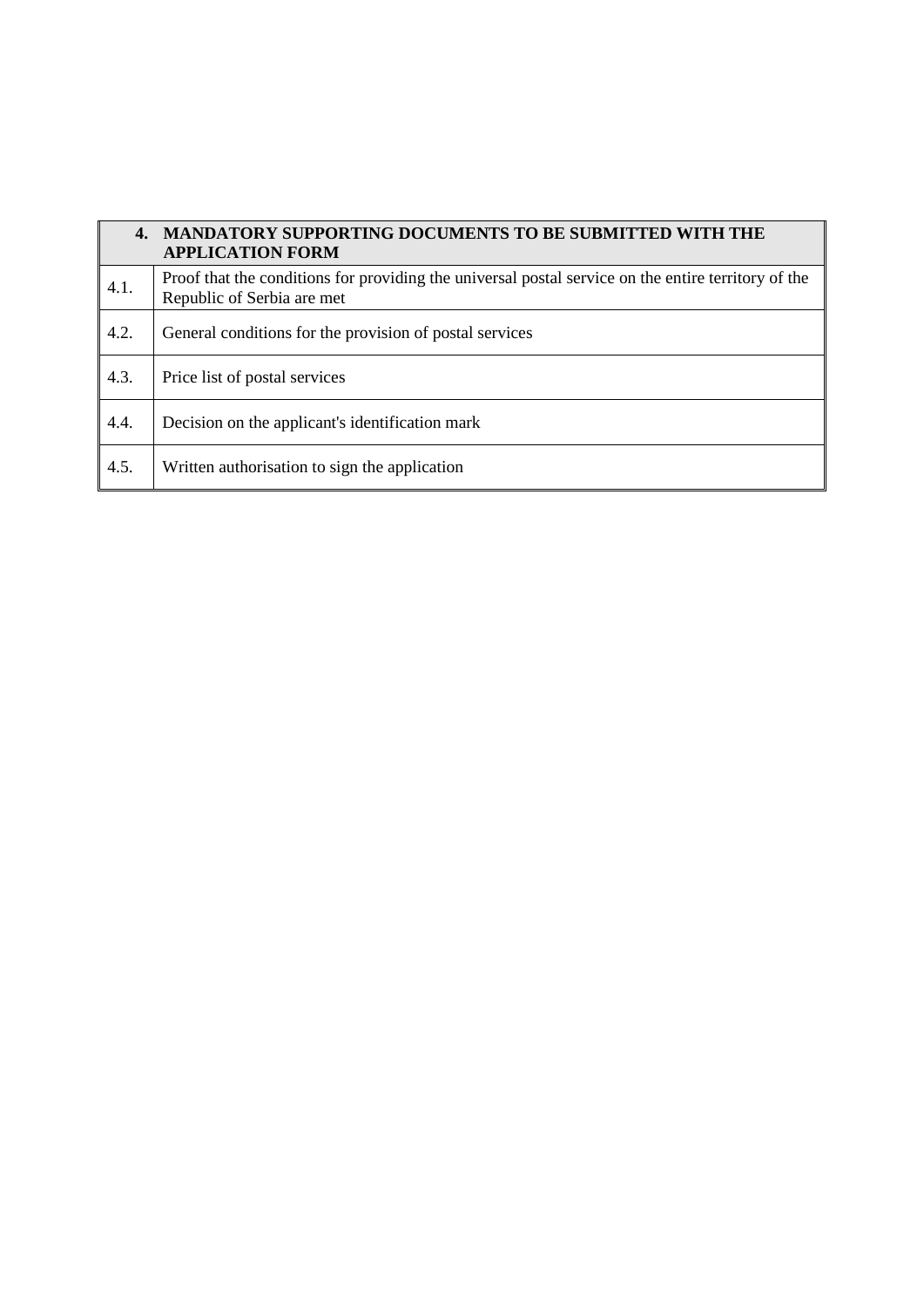| 4.   | <b>MANDATORY SUPPORTING DOCUMENTS TO BE SUBMITTED WITH THE</b><br><b>APPLICATION FORM</b>                                         |
|------|-----------------------------------------------------------------------------------------------------------------------------------|
| 4.1. | Proof that the conditions for providing the universal postal service on the entire territory of the<br>Republic of Serbia are met |
| 4.2. | General conditions for the provision of postal services                                                                           |
| 4.3. | Price list of postal services                                                                                                     |
| 4.4. | Decision on the applicant's identification mark                                                                                   |
| 4.5. | Written authorisation to sign the application                                                                                     |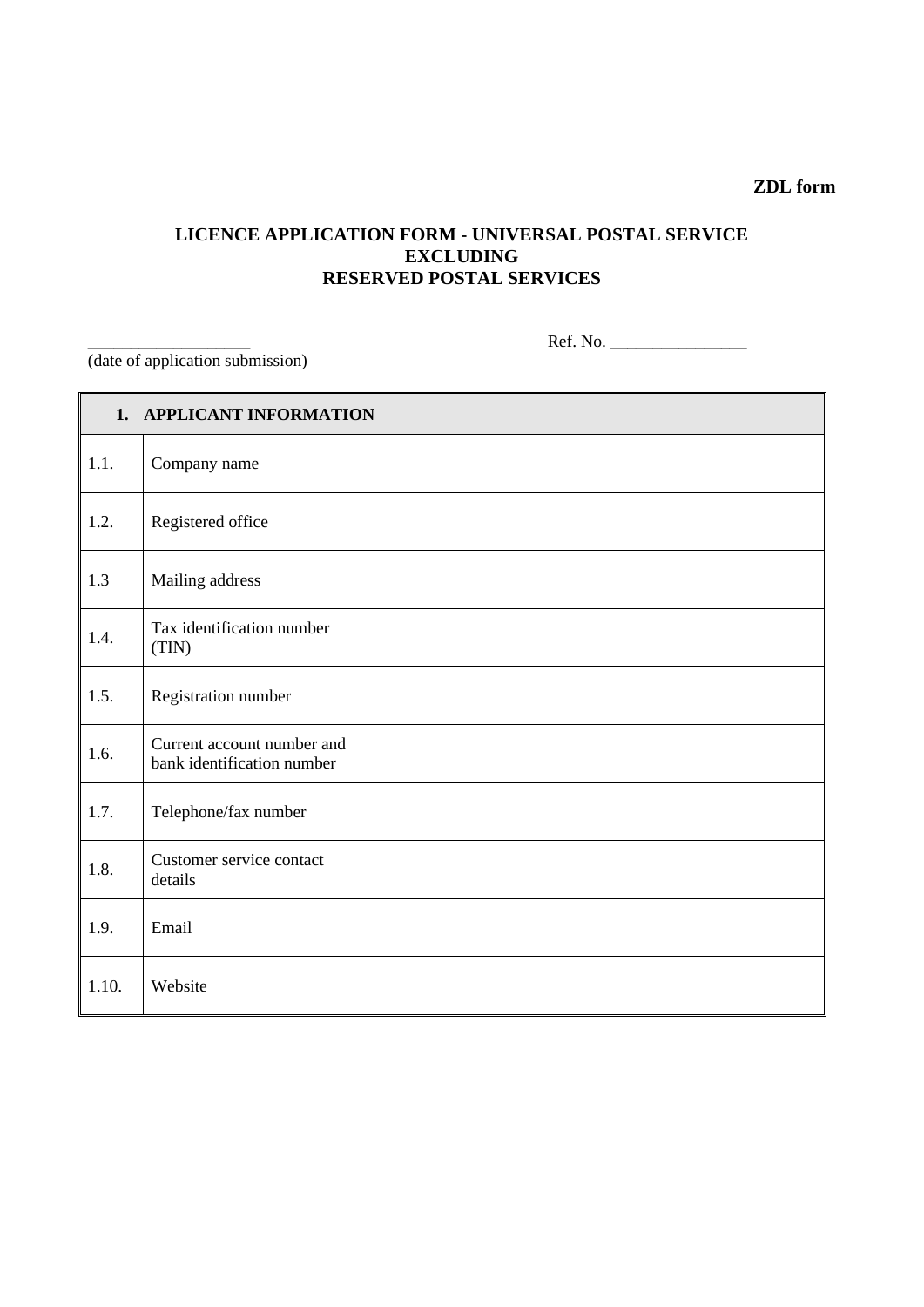# **ZDL form**

# **LICENCE APPLICATION FORM - UNIVERSAL POSTAL SERVICE EXCLUDING RESERVED POSTAL SERVICES**

\_\_\_\_\_\_\_\_\_\_\_\_\_\_\_\_\_\_\_ Ref. No. \_\_\_\_\_\_\_\_\_\_\_\_\_\_\_\_

(date of application submission)

| 1. APPLICANT INFORMATION |                                                          |  |
|--------------------------|----------------------------------------------------------|--|
| 1.1.                     | Company name                                             |  |
| 1.2.                     | Registered office                                        |  |
| 1.3                      | Mailing address                                          |  |
| 1.4.                     | Tax identification number<br>(TIN)                       |  |
| 1.5.                     | Registration number                                      |  |
| 1.6.                     | Current account number and<br>bank identification number |  |
| 1.7.                     | Telephone/fax number                                     |  |
| 1.8.                     | Customer service contact<br>details                      |  |
| 1.9.                     | Email                                                    |  |
| 1.10.                    | Website                                                  |  |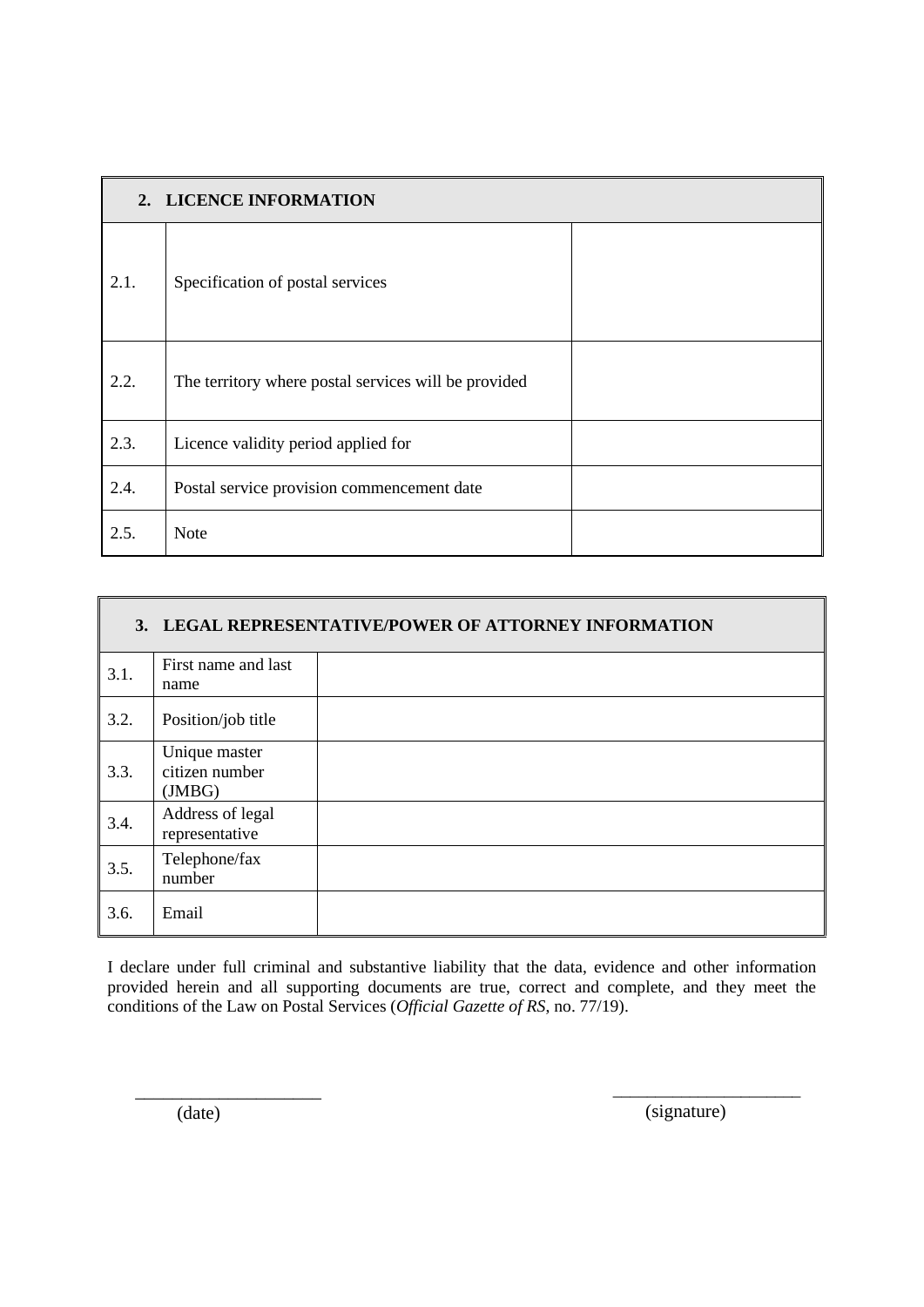| 2. LICENCE INFORMATION |                                                      |  |
|------------------------|------------------------------------------------------|--|
| 2.1.                   | Specification of postal services                     |  |
| 2.2.                   | The territory where postal services will be provided |  |
| 2.3.                   | Licence validity period applied for                  |  |
| 2.4.                   | Postal service provision commencement date           |  |
| 2.5.                   | Note                                                 |  |

| 3. LEGAL REPRESENTATIVE/POWER OF ATTORNEY INFORMATION |                                          |  |
|-------------------------------------------------------|------------------------------------------|--|
| 3.1.                                                  | First name and last<br>name              |  |
| 3.2.                                                  | Position/job title                       |  |
| 3.3.                                                  | Unique master<br>citizen number<br>(MBG) |  |
| 3.4.                                                  | Address of legal<br>representative       |  |
| 3.5.                                                  | Telephone/fax<br>number                  |  |
| 3.6.                                                  | Email                                    |  |

(date)

\_\_\_\_\_\_\_\_\_\_\_\_\_\_\_\_\_\_\_\_

(signature)

 $\frac{1}{\sqrt{2}}$  ,  $\frac{1}{\sqrt{2}}$  ,  $\frac{1}{\sqrt{2}}$  ,  $\frac{1}{\sqrt{2}}$  ,  $\frac{1}{\sqrt{2}}$  ,  $\frac{1}{\sqrt{2}}$  ,  $\frac{1}{\sqrt{2}}$  ,  $\frac{1}{\sqrt{2}}$  ,  $\frac{1}{\sqrt{2}}$  ,  $\frac{1}{\sqrt{2}}$  ,  $\frac{1}{\sqrt{2}}$  ,  $\frac{1}{\sqrt{2}}$  ,  $\frac{1}{\sqrt{2}}$  ,  $\frac{1}{\sqrt{2}}$  ,  $\frac{1}{\sqrt{2}}$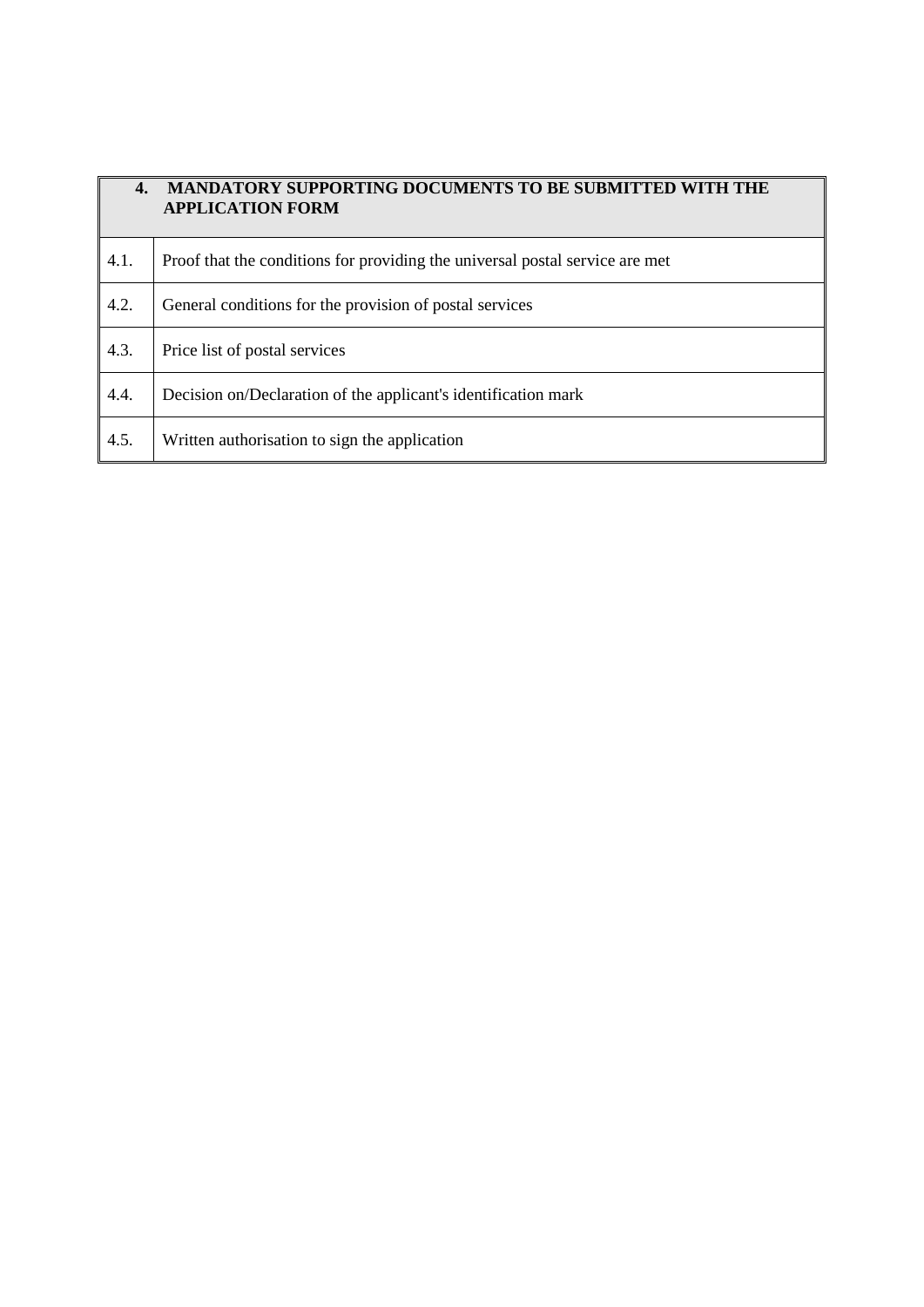| 4.   | <b>MANDATORY SUPPORTING DOCUMENTS TO BE SUBMITTED WITH THE</b><br><b>APPLICATION FORM</b> |
|------|-------------------------------------------------------------------------------------------|
| 4.1. | Proof that the conditions for providing the universal postal service are met              |
| 4.2. | General conditions for the provision of postal services                                   |
| 4.3. | Price list of postal services                                                             |
| 4.4. | Decision on/Declaration of the applicant's identification mark                            |
| 4.5. | Written authorisation to sign the application                                             |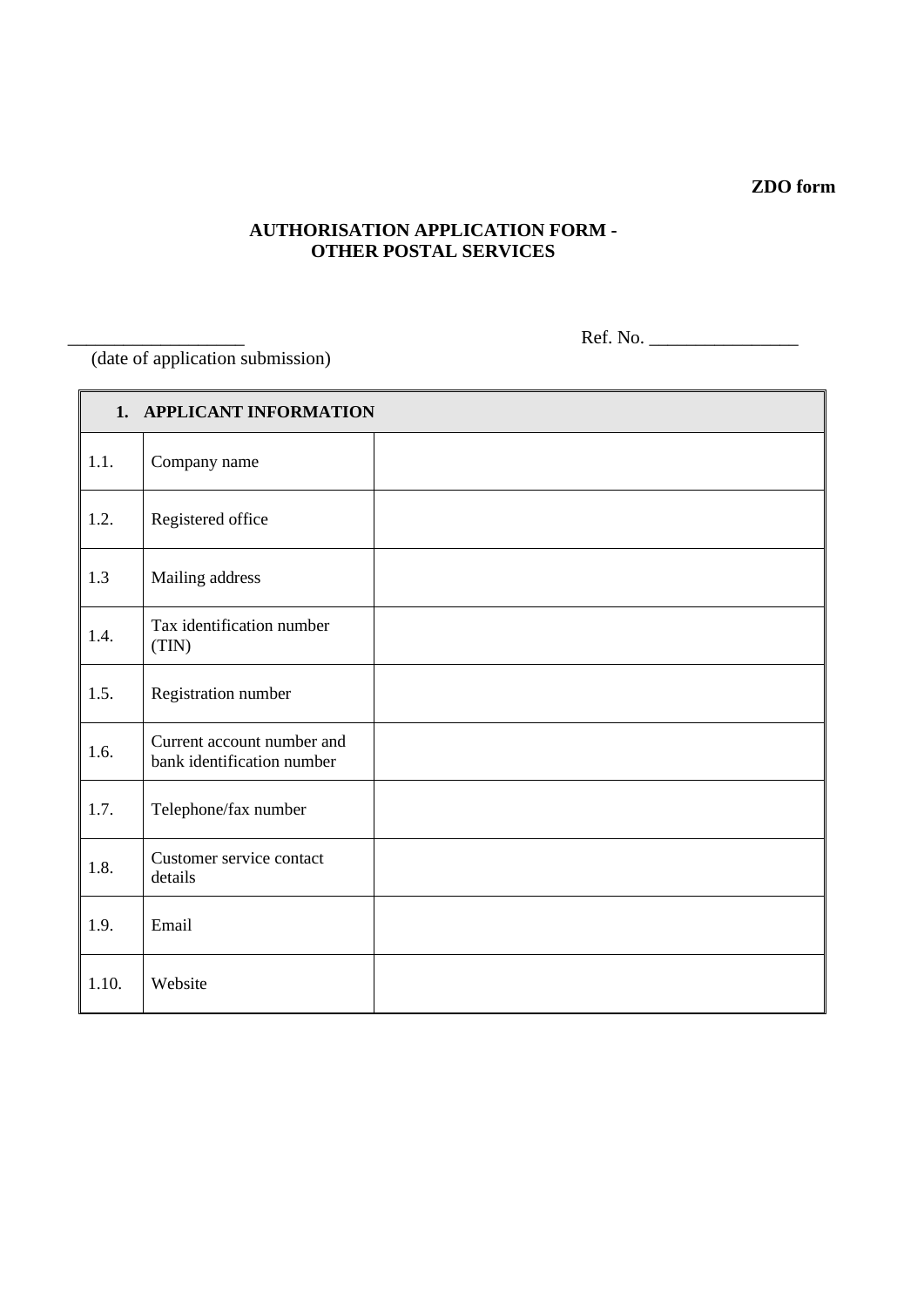# **ZDO form**

## **AUTHORISATION APPLICATION FORM - OTHER POSTAL SERVICES**

(date of application submission)

\_\_\_\_\_\_\_\_\_\_\_\_\_\_\_\_\_\_\_ Ref. No. \_\_\_\_\_\_\_\_\_\_\_\_\_\_\_\_

| 1. APPLICANT INFORMATION |                                                          |  |
|--------------------------|----------------------------------------------------------|--|
| 1.1.                     | Company name                                             |  |
| 1.2.                     | Registered office                                        |  |
| 1.3                      | Mailing address                                          |  |
| 1.4.                     | Tax identification number<br>(TIN)                       |  |
| 1.5.                     | Registration number                                      |  |
| 1.6.                     | Current account number and<br>bank identification number |  |
| 1.7.                     | Telephone/fax number                                     |  |
| 1.8.                     | Customer service contact<br>details                      |  |
| 1.9.                     | Email                                                    |  |
| 1.10.                    | Website                                                  |  |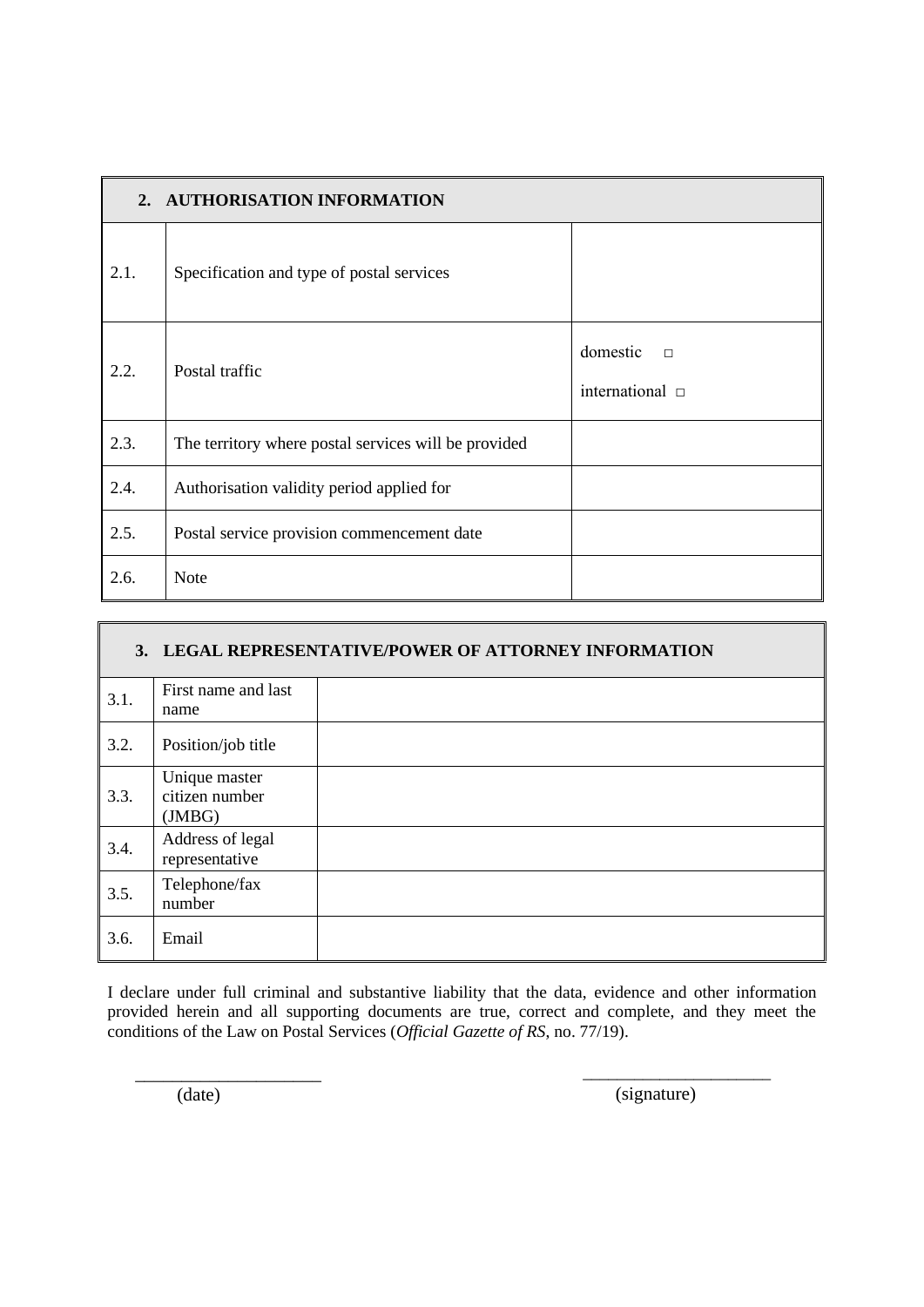| 2. AUTHORISATION INFORMATION |                                                      |                                            |
|------------------------------|------------------------------------------------------|--------------------------------------------|
| 2.1.                         | Specification and type of postal services            |                                            |
| 2.2.                         | Postal traffic                                       | domestic<br>$\Box$<br>international $\Box$ |
| 2.3.                         | The territory where postal services will be provided |                                            |
| 2.4.                         | Authorisation validity period applied for            |                                            |
| 2.5.                         | Postal service provision commencement date           |                                            |
| 2.6.                         | <b>Note</b>                                          |                                            |

| 3. LEGAL REPRESENTATIVE/POWER OF ATTORNEY INFORMATION |                                          |  |
|-------------------------------------------------------|------------------------------------------|--|
| 3.1.                                                  | First name and last<br>name              |  |
| 3.2.                                                  | Position/job title                       |  |
| 3.3.                                                  | Unique master<br>citizen number<br>(MBG) |  |
| 3.4.                                                  | Address of legal<br>representative       |  |
| 3.5.                                                  | Telephone/fax<br>number                  |  |
| 3.6.                                                  | Email                                    |  |

(date)

\_\_\_\_\_\_\_\_\_\_\_\_\_\_\_\_\_\_\_\_

 $\overline{\phantom{a}}$  , and the contract of the contract of the contract of the contract of the contract of the contract of the contract of the contract of the contract of the contract of the contract of the contract of the contrac (signature)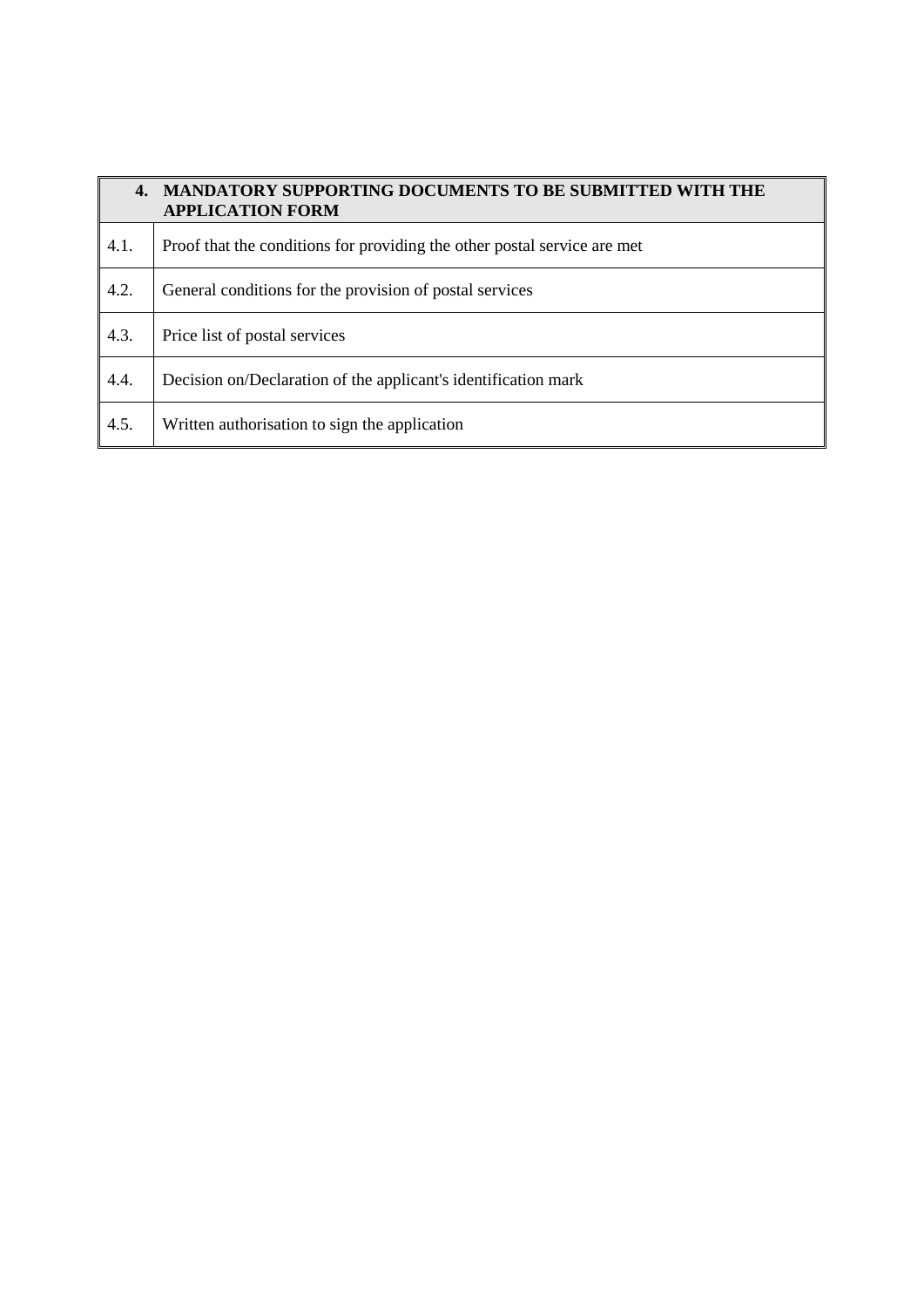| 4.   | <b>MANDATORY SUPPORTING DOCUMENTS TO BE SUBMITTED WITH THE</b><br><b>APPLICATION FORM</b> |
|------|-------------------------------------------------------------------------------------------|
| 4.1. | Proof that the conditions for providing the other postal service are met                  |
| 4.2. | General conditions for the provision of postal services                                   |
| 4.3. | Price list of postal services                                                             |
| 4.4. | Decision on/Declaration of the applicant's identification mark                            |
| 4.5. | Written authorisation to sign the application                                             |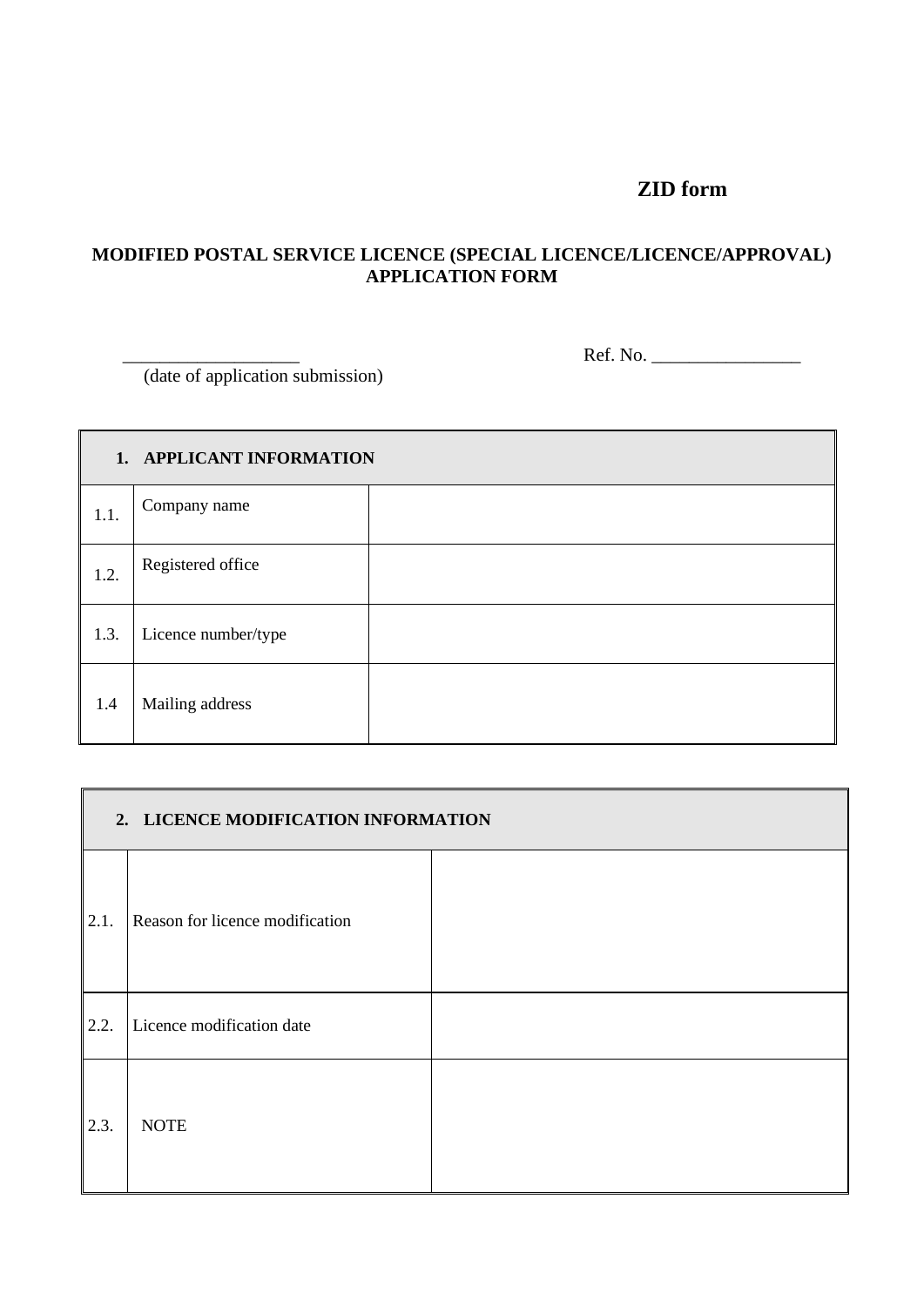# **ZID form**

# **MODIFIED POSTAL SERVICE LICENCE (SPECIAL LICENCE/LICENCE/APPROVAL) APPLICATION FORM**

\_\_\_\_\_\_\_\_\_\_\_\_\_\_\_\_\_\_\_ Ref. No. \_\_\_\_\_\_\_\_\_\_\_\_\_\_\_\_

(date of application submission)

| 1. APPLICANT INFORMATION |                     |  |  |  |
|--------------------------|---------------------|--|--|--|
| 1.1.                     | Company name        |  |  |  |
| 1.2.                     | Registered office   |  |  |  |
| 1.3.                     | Licence number/type |  |  |  |
| 1.4                      | Mailing address     |  |  |  |

| 2. LICENCE MODIFICATION INFORMATION |                                 |  |  |  |
|-------------------------------------|---------------------------------|--|--|--|
| 2.1.                                | Reason for licence modification |  |  |  |
| 2.2.                                | Licence modification date       |  |  |  |
| 2.3.                                | <b>NOTE</b>                     |  |  |  |